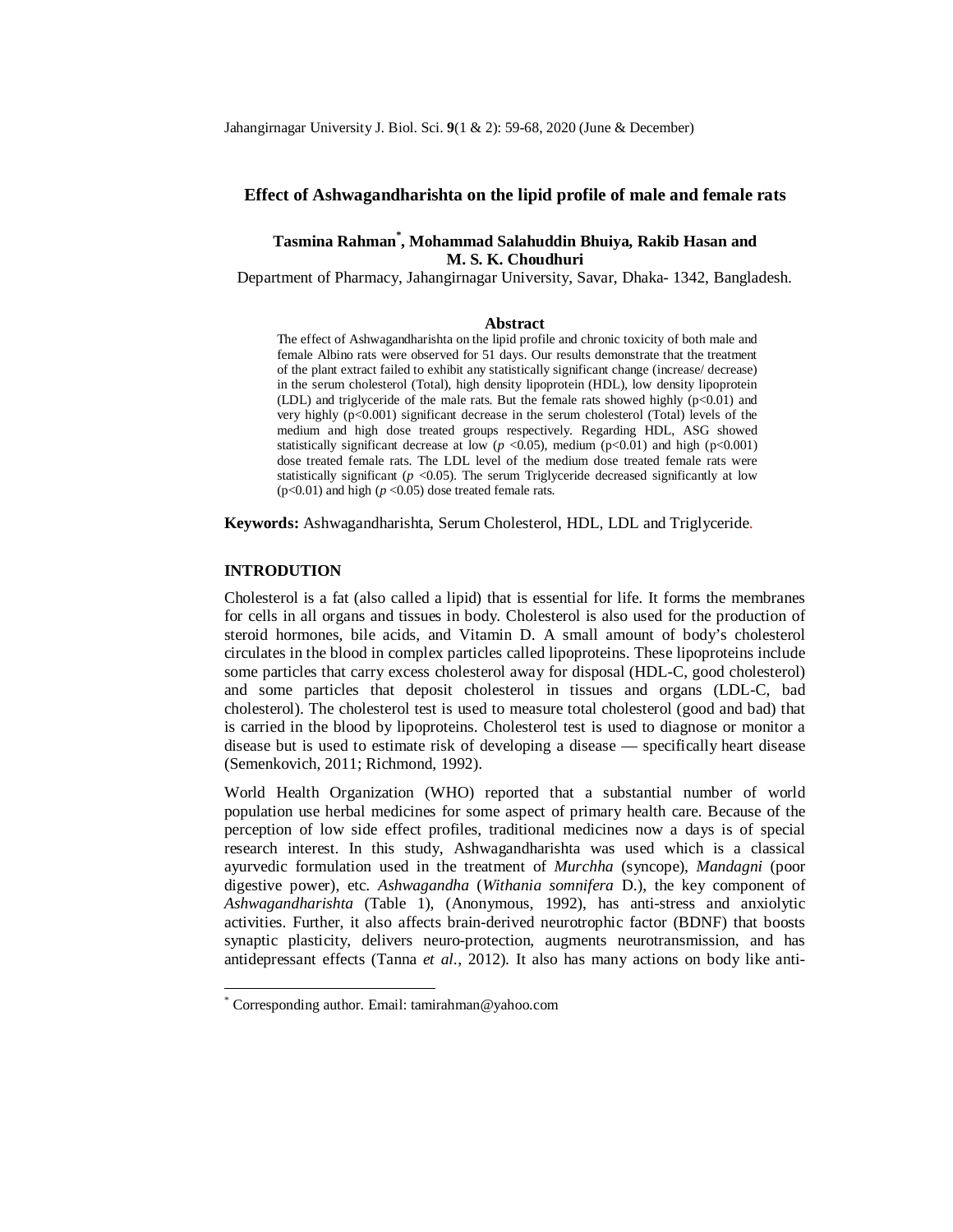## **Effect of Ashwagandharishta on the lipid profile of male and female rats**

# **Tasmina Rahman\* , Mohammad Salahuddin Bhuiya, Rakib Hasan and M. S. K. Choudhuri**

Department of Pharmacy, Jahangirnagar University, Savar, Dhaka- 1342, Bangladesh.

#### **Abstract**

The effect of Ashwagandharishta on the lipid profile and chronic toxicity of both male and female Albino rats were observed for 51 days. Our results demonstrate that the treatment of the plant extract failed to exhibit any statistically significant change (increase/ decrease) in the serum cholesterol (Total), high density lipoprotein (HDL), low density lipoprotein (LDL) and triglyceride of the male rats. But the female rats showed highly  $(p<0.01)$  and very highly  $(p<0.001)$  significant decrease in the serum cholesterol (Total) levels of the medium and high dose treated groups respectively. Regarding HDL, ASG showed statistically significant decrease at low ( $p$  <0.05), medium ( $p$  <0.01) and high ( $p$  <0.001) dose treated female rats. The LDL level of the medium dose treated female rats were statistically significant  $(p \le 0.05)$ . The serum Triglyceride decreased significantly at low ( $p$ <0.01) and high ( $p$  <0.05) dose treated female rats.

**Keywords:** Ashwagandharishta, Serum Cholesterol, HDL, LDL and Triglyceride.

#### **INTRODUTION**

1

Cholesterol is a fat (also called a lipid) that is essential for life. It forms the membranes for cells in all organs and tissues in body. Cholesterol is also used for the production of steroid hormones, bile acids, and Vitamin D. A small amount of body's cholesterol circulates in the blood in complex particles called lipoproteins. These lipoproteins include some particles that carry excess cholesterol away for disposal (HDL-C, good cholesterol) and some particles that deposit cholesterol in tissues and organs (LDL-C, bad cholesterol). The cholesterol test is used to measure total cholesterol (good and bad) that is carried in the blood by lipoproteins. Cholesterol test is used to diagnose or monitor a disease but is used to estimate risk of developing a disease — specifically heart disease (Semenkovich, 2011; Richmond, 1992).

World Health Organization (WHO) reported that a substantial number of world population use herbal medicines for some aspect of primary health care. Because of the perception of low side effect profiles, traditional medicines now a days is of special research interest. In this study, Ashwagandharishta was used which is a classical ayurvedic formulation used in the treatment of *Murchha* (syncope), *Mandagni* (poor digestive power), etc. *Ashwagandha* (*Withania somnifera* D.), the key component of *Ashwagandharishta* (Table 1), (Anonymous, 1992), has anti-stress and anxiolytic activities. Further, it also affects brain-derived neurotrophic factor (BDNF) that boosts synaptic plasticity, delivers neuro-protection, augments neurotransmission, and has antidepressant effects (Tanna *et al*., 2012). It also has many actions on body like anti-

<sup>\*</sup> Corresponding author. Email: tamirahman@yahoo.com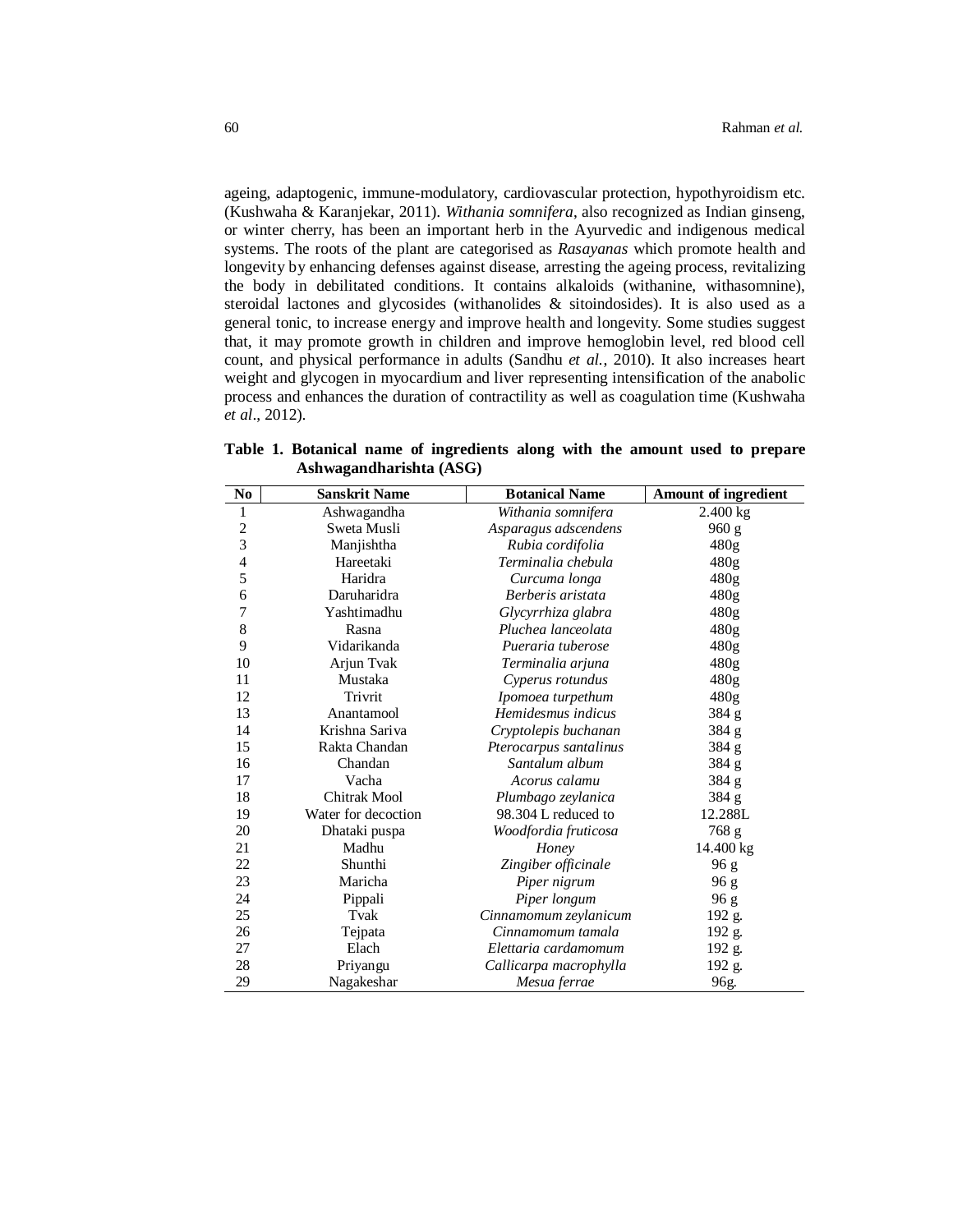ageing, adaptogenic, immune-modulatory, cardiovascular protection, hypothyroidism etc. (Kushwaha & Karanjekar, 2011). *Withania somnifera*, also recognized as Indian ginseng, or winter cherry, has been an important herb in the Ayurvedic and indigenous medical systems. The roots of the plant are categorised as *Rasayanas* which promote health and longevity by enhancing defenses against disease, arresting the ageing process, revitalizing the body in debilitated conditions. It contains alkaloids (withanine, withasomnine), steroidal lactones and glycosides (withanolides & sitoindosides). It is also used as a general tonic, to increase energy and improve health and longevity. Some studies suggest that, it may promote growth in children and improve hemoglobin level, red blood cell count, and physical performance in adults (Sandhu *et al.*, 2010). It also increases heart weight and glycogen in myocardium and liver representing intensification of the anabolic process and enhances the duration of contractility as well as coagulation time (Kushwaha *et al*., 2012).

| No            | <b>Sanskrit Name</b> | <b>Botanical Name</b>  | <b>Amount of ingredient</b> |
|---------------|----------------------|------------------------|-----------------------------|
| $\mathbf{1}$  | Ashwagandha          | Withania somnifera     | $2.400 \text{ kg}$          |
| $\frac{2}{3}$ | Sweta Musli          | Asparagus adscendens   | 960 g                       |
|               | Manjishtha           | Rubia cordifolia       | 480g                        |
| 4             | Hareetaki            | Terminalia chebula     | 480g                        |
| 5             | Haridra              | Curcuma longa          | 480g                        |
| 6             | Daruharidra          | Berberis aristata      | 480g                        |
| 7             | Yashtimadhu          | Glycyrrhiza glabra     | 480g                        |
| 8             | Rasna                | Pluchea lanceolata     | 480g                        |
| 9             | Vidarikanda          | Pueraria tuberose      | 480g                        |
| 10            | Arjun Tvak           | Terminalia arjuna      | 480g                        |
| 11            | Mustaka              | Cyperus rotundus       | 480g                        |
| 12            | Trivrit              | Ipomoea turpethum      | 480 <sub>g</sub>            |
| 13            | Anantamool           | Hemidesmus indicus     | 384 g                       |
| 14            | Krishna Sariva       | Cryptolepis buchanan   | 384 g                       |
| 15            | Rakta Chandan        | Pterocarpus santalinus | 384 g                       |
| 16            | Chandan              | Santalum album         | 384 g                       |
| 17            | Vacha                | Acorus calamu          | 384 g                       |
| 18            | <b>Chitrak Mool</b>  | Plumbago zeylanica     | 384 g                       |
| 19            | Water for decoction  | 98.304 L reduced to    | 12.288L                     |
| 20            | Dhataki puspa        | Woodfordia fruticosa   | 768 g                       |
| 21            | Madhu                | Honey                  | 14.400 kg                   |
| 22            | Shunthi              | Zingiber officinale    | 96 g                        |
| 23            | Maricha              | Piper nigrum           | 96 g                        |
| 24            | Pippali              | Piper longum           | 96 g                        |
| 25            | Tvak                 | Cinnamomum zeylanicum  | 192 g.                      |
| 26            | Tejpata              | Cinnamomum tamala      | 192 g.                      |
| 27            | Elach                | Elettaria cardamomum   | 192 g.                      |
| 28            | Priyangu             | Callicarpa macrophylla | 192 g.                      |
| 29            | Nagakeshar           | Mesua ferrae           | 96g.                        |

**Table 1. Botanical name of ingredients along with the amount used to prepare Ashwagandharishta (ASG)**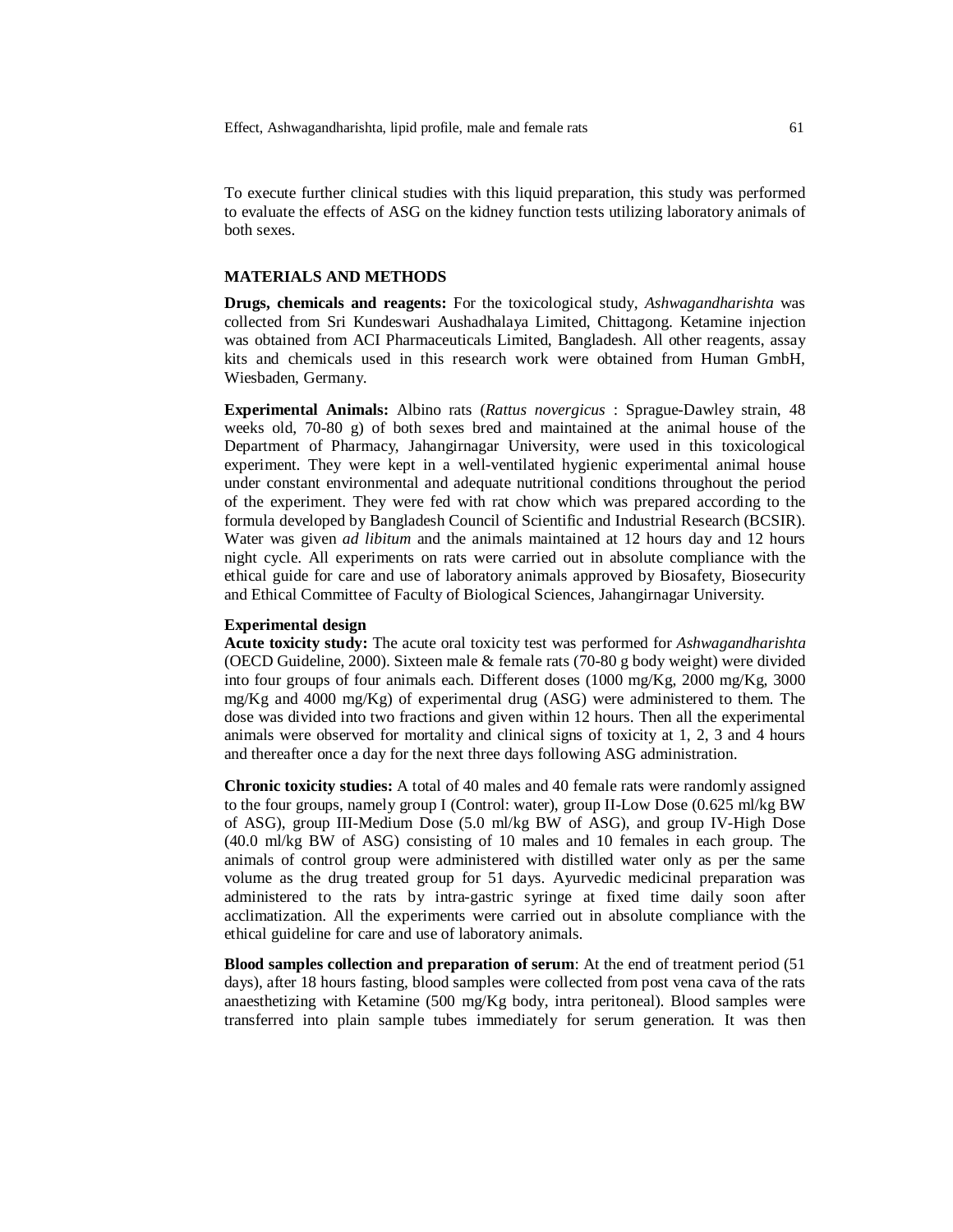To execute further clinical studies with this liquid preparation, this study was performed to evaluate the effects of ASG on the kidney function tests utilizing laboratory animals of both sexes.

## **MATERIALS AND METHODS**

**Drugs, chemicals and reagents:** For the toxicological study, *Ashwagandharishta* was collected from Sri Kundeswari Aushadhalaya Limited, Chittagong. Ketamine injection was obtained from ACI Pharmaceuticals Limited, Bangladesh. All other reagents, assay kits and chemicals used in this research work were obtained from Human GmbH, Wiesbaden, Germany.

**Experimental Animals:** Albino rats (*Rattus novergicus* : Sprague-Dawley strain, 48 weeks old, 70-80 g) of both sexes bred and maintained at the animal house of the Department of Pharmacy, Jahangirnagar University, were used in this toxicological experiment. They were kept in a well-ventilated hygienic experimental animal house under constant environmental and adequate nutritional conditions throughout the period of the experiment. They were fed with rat chow which was prepared according to the formula developed by Bangladesh Council of Scientific and Industrial Research (BCSIR). Water was given *ad libitum* and the animals maintained at 12 hours day and 12 hours night cycle. All experiments on rats were carried out in absolute compliance with the ethical guide for care and use of laboratory animals approved by Biosafety, Biosecurity and Ethical Committee of Faculty of Biological Sciences, Jahangirnagar University.

#### **Experimental design**

**Acute toxicity study:** The acute oral toxicity test was performed for *Ashwagandharishta*  (OECD Guideline, 2000). Sixteen male & female rats (70-80 g body weight) were divided into four groups of four animals each. Different doses (1000 mg/Kg, 2000 mg/Kg, 3000 mg/Kg and 4000 mg/Kg) of experimental drug (ASG) were administered to them. The dose was divided into two fractions and given within 12 hours. Then all the experimental animals were observed for mortality and clinical signs of toxicity at 1, 2, 3 and 4 hours and thereafter once a day for the next three days following ASG administration.

**Chronic toxicity studies:** A total of 40 males and 40 female rats were randomly assigned to the four groups, namely group I (Control: water), group II-Low Dose (0.625 ml/kg BW of ASG), group III-Medium Dose (5.0 ml/kg BW of ASG), and group IV-High Dose (40.0 ml/kg BW of ASG) consisting of 10 males and 10 females in each group. The animals of control group were administered with distilled water only as per the same volume as the drug treated group for 51 days. Ayurvedic medicinal preparation was administered to the rats by intra-gastric syringe at fixed time daily soon after acclimatization. All the experiments were carried out in absolute compliance with the ethical guideline for care and use of laboratory animals.

**Blood samples collection and preparation of serum**: At the end of treatment period (51 days), after 18 hours fasting, blood samples were collected from post vena cava of the rats anaesthetizing with Ketamine (500 mg/Kg body, intra peritoneal). Blood samples were transferred into plain sample tubes immediately for serum generation. It was then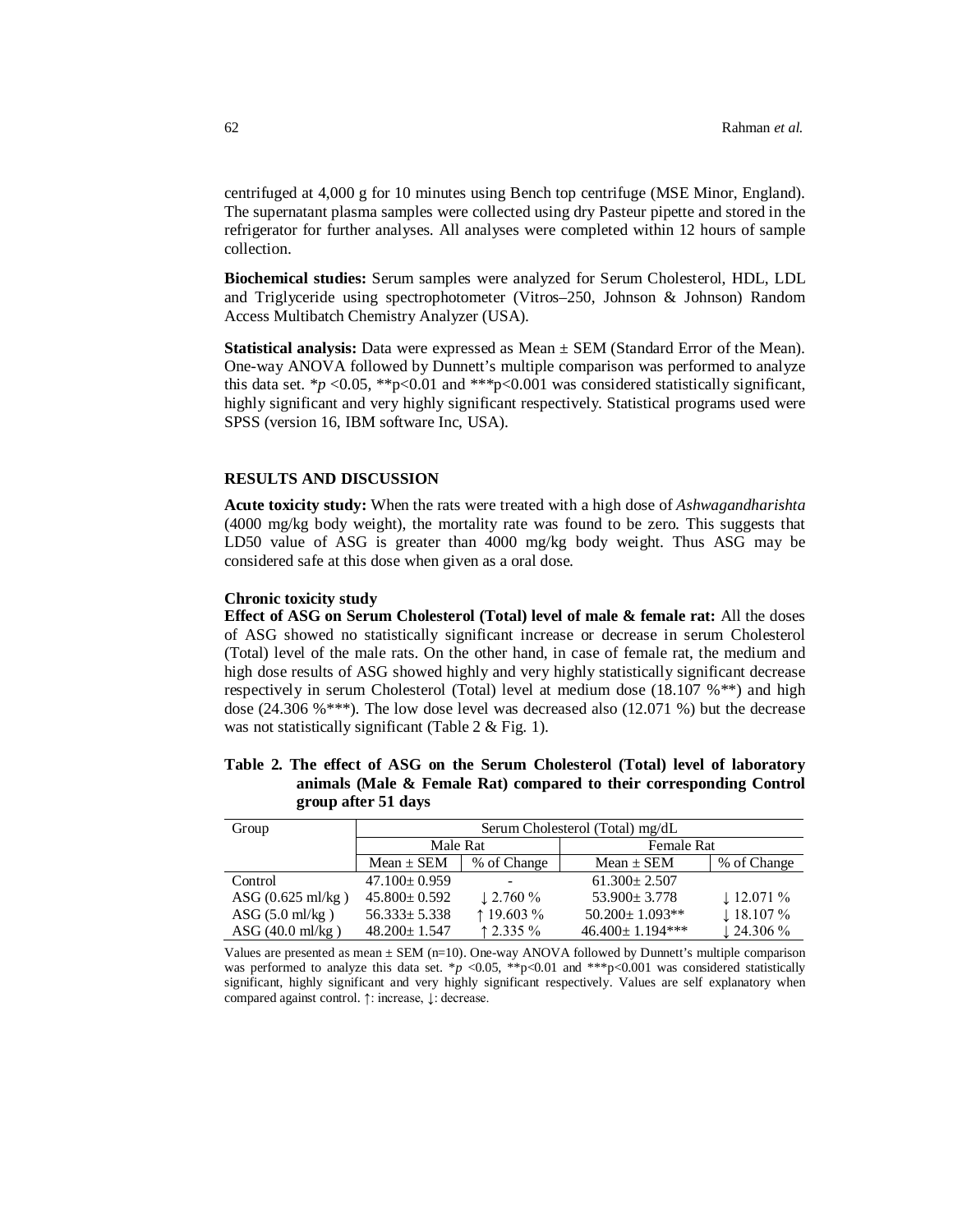centrifuged at 4,000 g for 10 minutes using Bench top centrifuge (MSE Minor, England). The supernatant plasma samples were collected using dry Pasteur pipette and stored in the refrigerator for further analyses. All analyses were completed within 12 hours of sample collection.

**Biochemical studies:** Serum samples were analyzed for Serum Cholesterol, HDL, LDL and Triglyceride using spectrophotometer (Vitros–250, Johnson & Johnson) Random Access Multibatch Chemistry Analyzer (USA).

**Statistical analysis:** Data were expressed as  $Mean \pm SEM$  (Standard Error of the Mean). One-way ANOVA followed by Dunnett's multiple comparison was performed to analyze this data set.  $\frac{k}{p}$  <0.05,  $\frac{k}{p}$  <0.01 and  $\frac{k}{p}$  <0.001 was considered statistically significant, highly significant and very highly significant respectively. Statistical programs used were SPSS (version 16, IBM software Inc, USA).

### **RESULTS AND DISCUSSION**

**Acute toxicity study:** When the rats were treated with a high dose of *Ashwagandharishta*  (4000 mg/kg body weight), the mortality rate was found to be zero. This suggests that LD50 value of ASG is greater than 4000 mg/kg body weight. Thus ASG may be considered safe at this dose when given as a oral dose.

#### **Chronic toxicity study**

**Effect of ASG on Serum Cholesterol (Total) level of male & female rat:** All the doses of ASG showed no statistically significant increase or decrease in serum Cholesterol (Total) level of the male rats. On the other hand, in case of female rat, the medium and high dose results of ASG showed highly and very highly statistically significant decrease respectively in serum Cholesterol (Total) level at medium dose (18.107 %\*\*) and high dose (24.306 %\*\*\*). The low dose level was decreased also (12.071 %) but the decrease was not statistically significant (Table 2 & Fig. 1).

# **Table 2. The effect of ASG on the Serum Cholesterol (Total) level of laboratory animals (Male & Female Rat) compared to their corresponding Control group after 51 days**

| Group                       | Serum Cholesterol (Total) mg/dL |                      |                       |                       |  |
|-----------------------------|---------------------------------|----------------------|-----------------------|-----------------------|--|
|                             | Male Rat                        |                      | Female Rat            |                       |  |
|                             | $Mean \pm SEM$                  | % of Change          | $Mean \pm SEM$        | % of Change           |  |
| Control                     | $47.100 \pm 0.959$              |                      | $61.300 \pm 2.507$    |                       |  |
| ASG $(0.625 \text{ ml/kg})$ | $45.800 \pm 0.592$              | $\downarrow$ 2.760 % | $53.900 \pm 3.778$    | $\downarrow$ 12.071 % |  |
| ASG $(5.0 \text{ ml/kg})$   | $56.333 \pm 5.338$              | $\uparrow$ 19.603 %  | $50.200 \pm 1.093**$  | $\downarrow$ 18.107 % |  |
| $\rm{ASG}$ (40.0 ml/kg)     | $48.200 \pm 1.547$              | $\uparrow$ 2.335 %   | $46.400 \pm 1.194***$ | $\downarrow$ 24.306 % |  |

Values are presented as mean  $\pm$  SEM (n=10). One-way ANOVA followed by Dunnett's multiple comparison was performed to analyze this data set. \**p* <0.05, \*\*p<0.01 and \*\*\*p<0.001 was considered statistically significant, highly significant and very highly significant respectively. Values are self explanatory when compared against control. ↑: increase, ↓: decrease.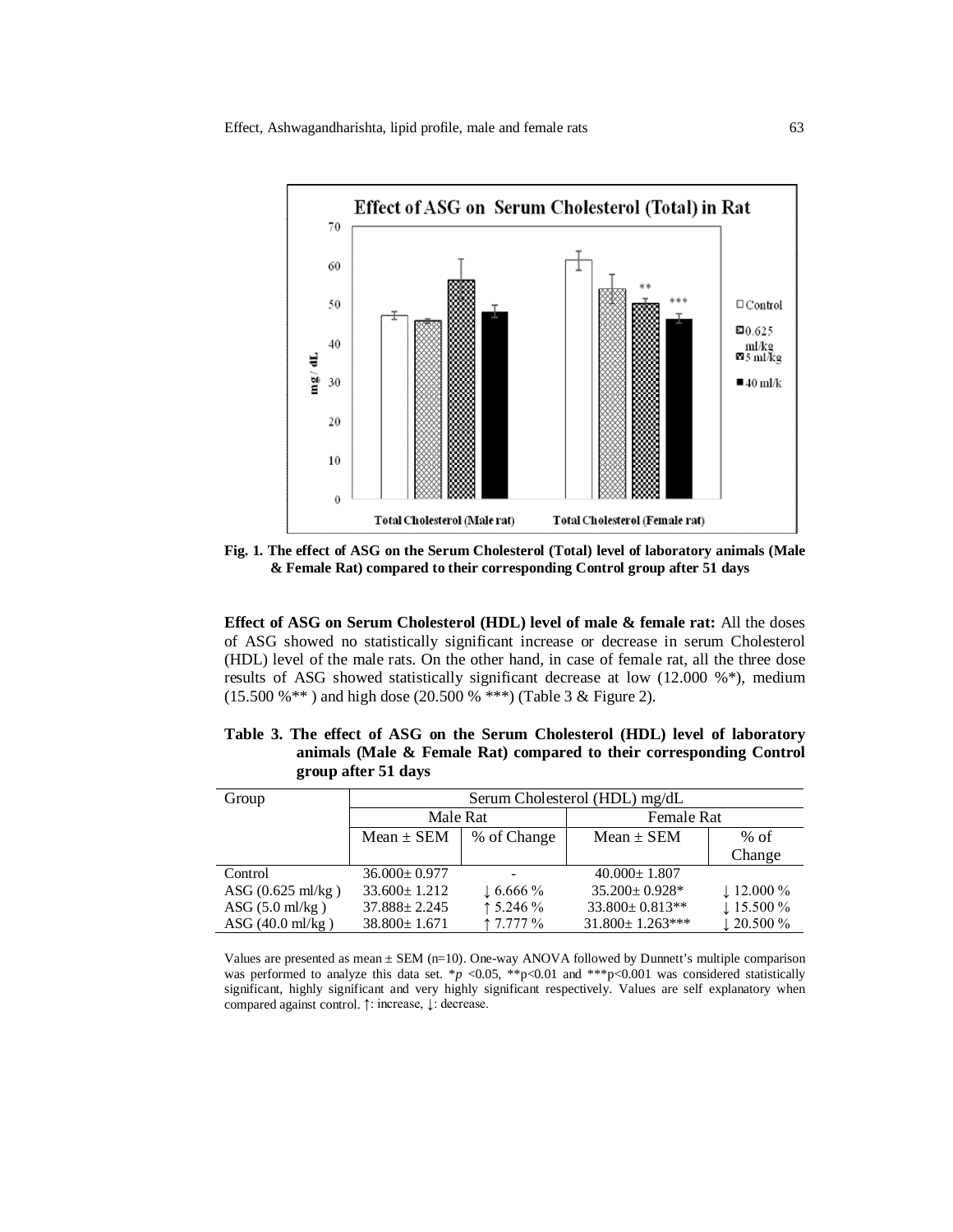

**Fig. 1. The effect of ASG on the Serum Cholesterol (Total) level of laboratory animals (Male & Female Rat) compared to their corresponding Control group after 51 days** 

**Effect of ASG on Serum Cholesterol (HDL) level of male & female rat:** All the doses of ASG showed no statistically significant increase or decrease in serum Cholesterol (HDL) level of the male rats. On the other hand, in case of female rat, all the three dose results of ASG showed statistically significant decrease at low (12.000 %\*), medium (15.500 %\*\* ) and high dose (20.500 % \*\*\*) (Table 3 & Figure 2).

| Group                           | Serum Cholesterol (HDL) mg/dL |                    |                        |                       |  |
|---------------------------------|-------------------------------|--------------------|------------------------|-----------------------|--|
|                                 | Male Rat                      |                    | <b>Female Rat</b>      |                       |  |
|                                 | $Mean \pm SEM$                | % of Change        | $Mean \pm SEM$         | $%$ of                |  |
|                                 |                               |                    |                        | Change                |  |
| Control                         | $36.000 \pm 0.977$            |                    | $40.000 \pm 1.807$     |                       |  |
| ASG $(0.625 \text{ ml/kg})$     | $33.600 \pm 1.212$            | $\perp$ 6.666 %    | $35.200 \pm 0.928$ *   | $\downarrow$ 12.000 % |  |
| $\text{ASG}(5.0 \text{ ml/kg})$ | $37.888 \pm 2.245$            | $\uparrow$ 5.246 % | $33.800 \pm 0.813**$   | $\downarrow$ 15.500 % |  |
| ASG $(40.0 \text{ ml/kg})$      | $38.800 \pm 1.671$            | 17.777%            | $31.800 \pm 1.263$ *** | $\downarrow$ 20.500 % |  |

**Table 3. The effect of ASG on the Serum Cholesterol (HDL) level of laboratory animals (Male & Female Rat) compared to their corresponding Control group after 51 days** 

Values are presented as mean  $\pm$  SEM (n=10). One-way ANOVA followed by Dunnett's multiple comparison was performed to analyze this data set. \**p* <0.05, \*\*p<0.01 and \*\*\*p<0.001 was considered statistically significant, highly significant and very highly significant respectively. Values are self explanatory when compared against control. ↑: increase, ↓: decrease.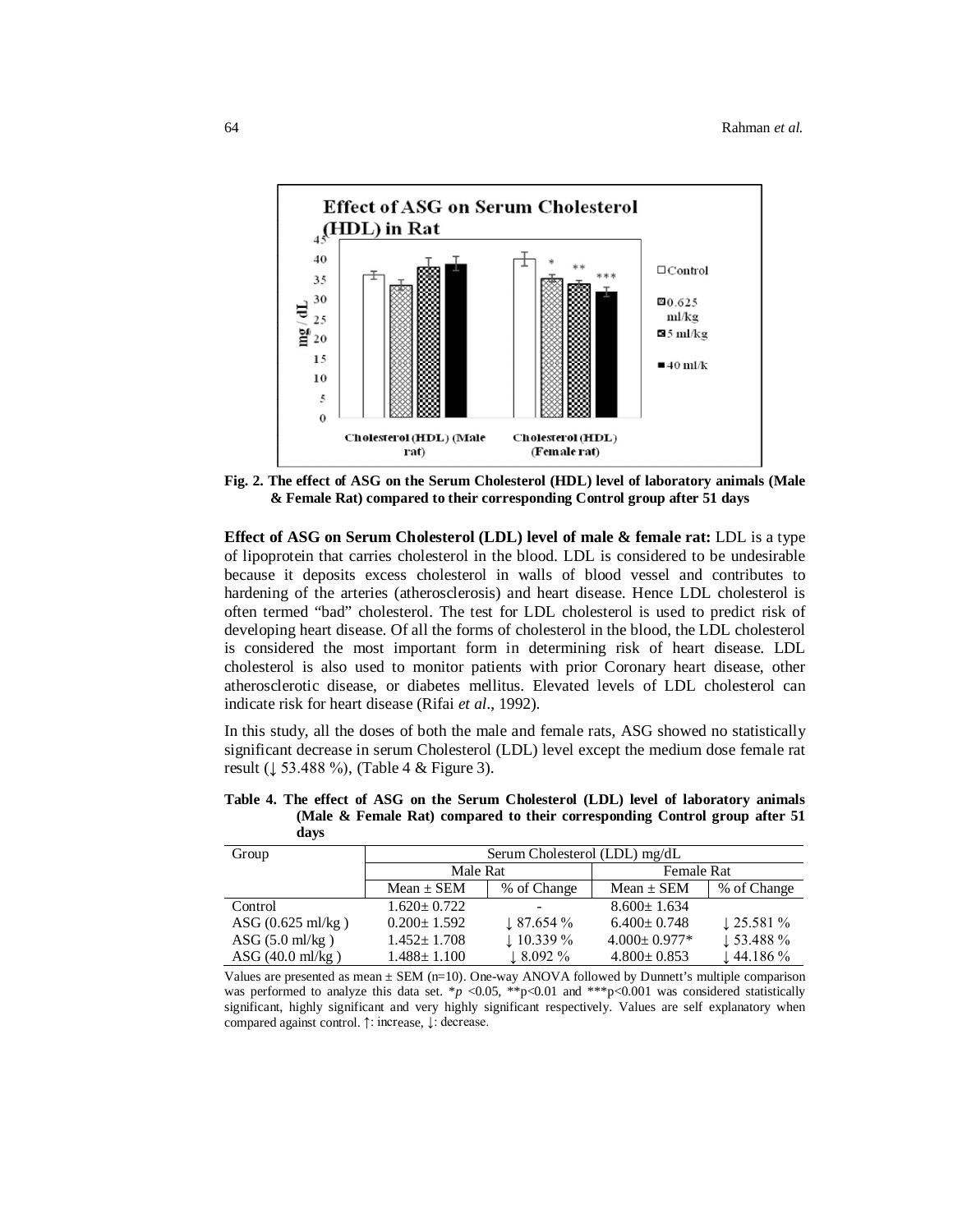

**Fig. 2. The effect of ASG on the Serum Cholesterol (HDL) level of laboratory animals (Male & Female Rat) compared to their corresponding Control group after 51 days**

**Effect of ASG on Serum Cholesterol (LDL) level of male & female rat:** LDL is a type of lipoprotein that carries cholesterol in the blood. LDL is considered to be undesirable because it deposits excess cholesterol in walls of blood vessel and contributes to hardening of the arteries (atherosclerosis) and heart disease. Hence LDL cholesterol is often termed "bad" cholesterol. The test for LDL cholesterol is used to predict risk of developing heart disease. Of all the forms of cholesterol in the blood, the LDL cholesterol is considered the most important form in determining risk of heart disease. LDL cholesterol is also used to monitor patients with prior Coronary heart disease, other atherosclerotic disease, or diabetes mellitus. Elevated levels of LDL cholesterol can indicate risk for heart disease (Rifai *et al*., 1992).

In this study, all the doses of both the male and female rats, ASG showed no statistically significant decrease in serum Cholesterol (LDL) level except the medium dose female rat result (↓ 53.488 %), (Table 4 & Figure 3).

| davs  | (Male & Female Rat) compared to their corresponding Control group after 51 |                                 |
|-------|----------------------------------------------------------------------------|---------------------------------|
| Group | Serum Cholesterol (LDL) mg/dL                                              |                                 |
|       | - - - -                                                                    | $-$<br>$\overline{\phantom{a}}$ |

**Table 4. The effect of ASG on the Serum Cholesterol (LDL) level of laboratory animals** 

| Group                      | Serum Cholesterol (LDL) mg/dL |                          |                    |                       |  |
|----------------------------|-------------------------------|--------------------------|--------------------|-----------------------|--|
|                            | Male Rat                      |                          | Female Rat         |                       |  |
|                            | $Mean \pm SEM$                | % of Change              | $Mean \pm SEM$     | % of Change           |  |
| Control                    | $1.620 \pm 0.722$             | $\overline{\phantom{a}}$ | $8.600 \pm 1.634$  |                       |  |
| $\rm{ASG}$ (0.625 ml/kg)   | $0.200 \pm 1.592$             | $\downarrow$ 87.654 %    | $6.400 \pm 0.748$  | $\downarrow$ 25.581 % |  |
| ASG $(5.0 \text{ ml/kg})$  | $1.452 \pm 1.708$             | $\downarrow$ 10.339 %    | $4.000 \pm 0.977*$ | $\downarrow$ 53.488 % |  |
| ASG $(40.0 \text{ ml/kg})$ | $1.488 \pm 1.100$             | $\perp$ 8.092 %          | $4.800 \pm 0.853$  | $\downarrow$ 44.186 % |  |

Values are presented as mean  $\pm$  SEM (n=10). One-way ANOVA followed by Dunnett's multiple comparison was performed to analyze this data set. \**p* <0.05, \*\*p<0.01 and \*\*\*p<0.001 was considered statistically significant, highly significant and very highly significant respectively. Values are self explanatory when compared against control. ↑: increase, ↓: decrease.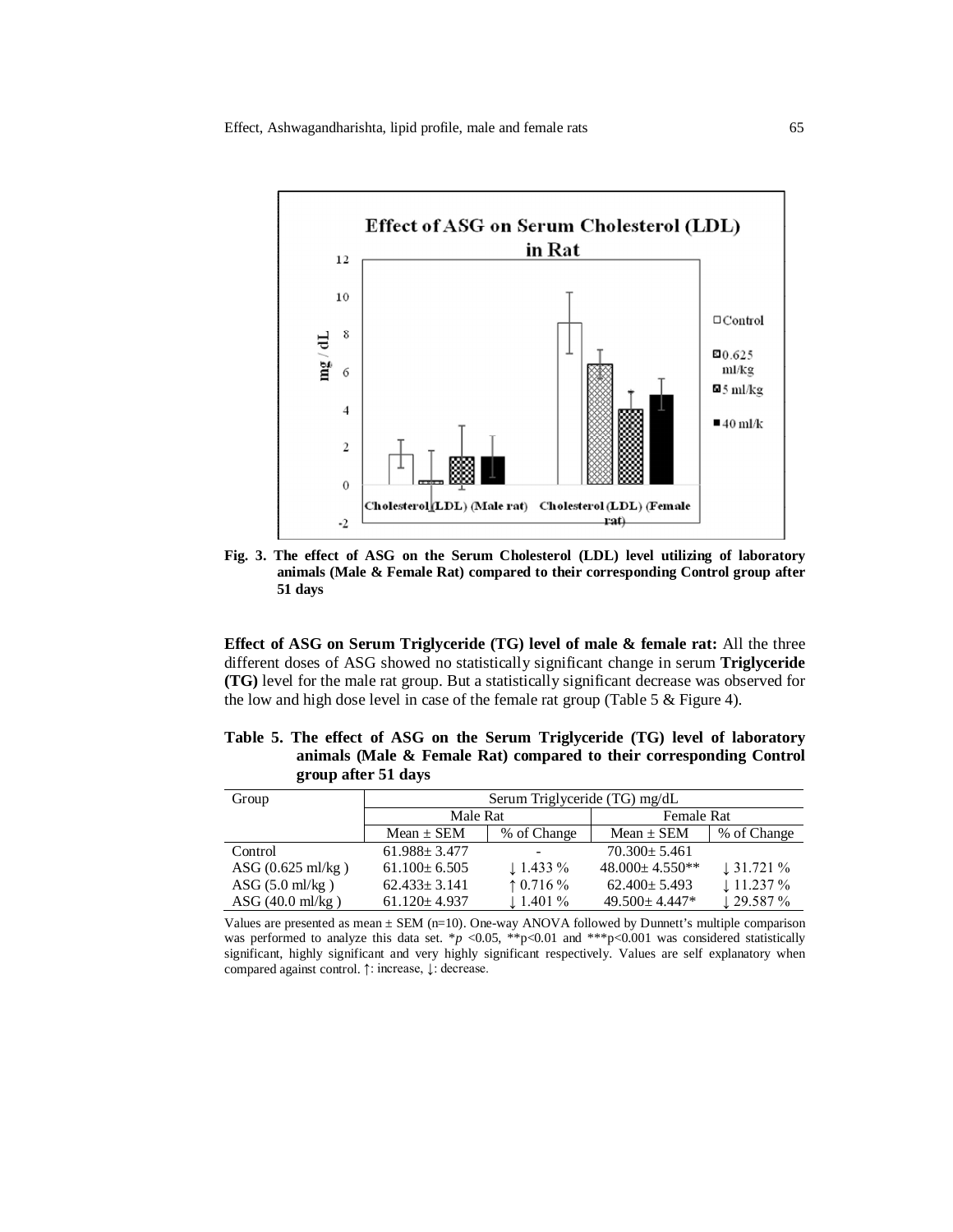

**Fig. 3. The effect of ASG on the Serum Cholesterol (LDL) level utilizing of laboratory animals (Male & Female Rat) compared to their corresponding Control group after 51 days**

**Effect of ASG on Serum Triglyceride (TG) level of male & female rat:** All the three different doses of ASG showed no statistically significant change in serum **Triglyceride (TG)** level for the male rat group. But a statistically significant decrease was observed for the low and high dose level in case of the female rat group (Table 5 & Figure 4).

**Table 5. The effect of ASG on the Serum Triglyceride (TG) level of laboratory animals (Male & Female Rat) compared to their corresponding Control group after 51 days** 

| Group                           | Serum Triglyceride (TG) mg/dL |                          |                      |                       |
|---------------------------------|-------------------------------|--------------------------|----------------------|-----------------------|
|                                 | Male Rat                      |                          | Female Rat           |                       |
|                                 | $Mean \pm SEM$                | % of Change              | $Mean \pm SEM$       | % of Change           |
| Control                         | $61.988 \pm 3.477$            | $\overline{\phantom{a}}$ | $70.300 \pm 5.461$   |                       |
| ASG $(0.625 \text{ ml/kg})$     | $61.100 \pm 6.505$            | $\downarrow$ 1.433 %     | $48.000 \pm 4.550**$ | $\downarrow$ 31.721 % |
| $\text{ASG}(5.0 \text{ ml/kg})$ | $62.433 \pm 3.141$            | $\uparrow$ 0.716 %       | $62.400 \pm 5.493$   | $\downarrow$ 11.237 % |
| $\rm{ASG}$ (40.0 ml/kg)         | $61.120 \pm 4.937$            | $\downarrow$ 1.401 %     | $49.500 \pm 4.447*$  | $\downarrow$ 29.587 % |

Values are presented as mean ± SEM (n=10). One-way ANOVA followed by Dunnett's multiple comparison was performed to analyze this data set. \**p* <0.05, \*\*p<0.01 and \*\*\*p<0.001 was considered statistically significant, highly significant and very highly significant respectively. Values are self explanatory when compared against control. ↑: increase, ↓: decrease.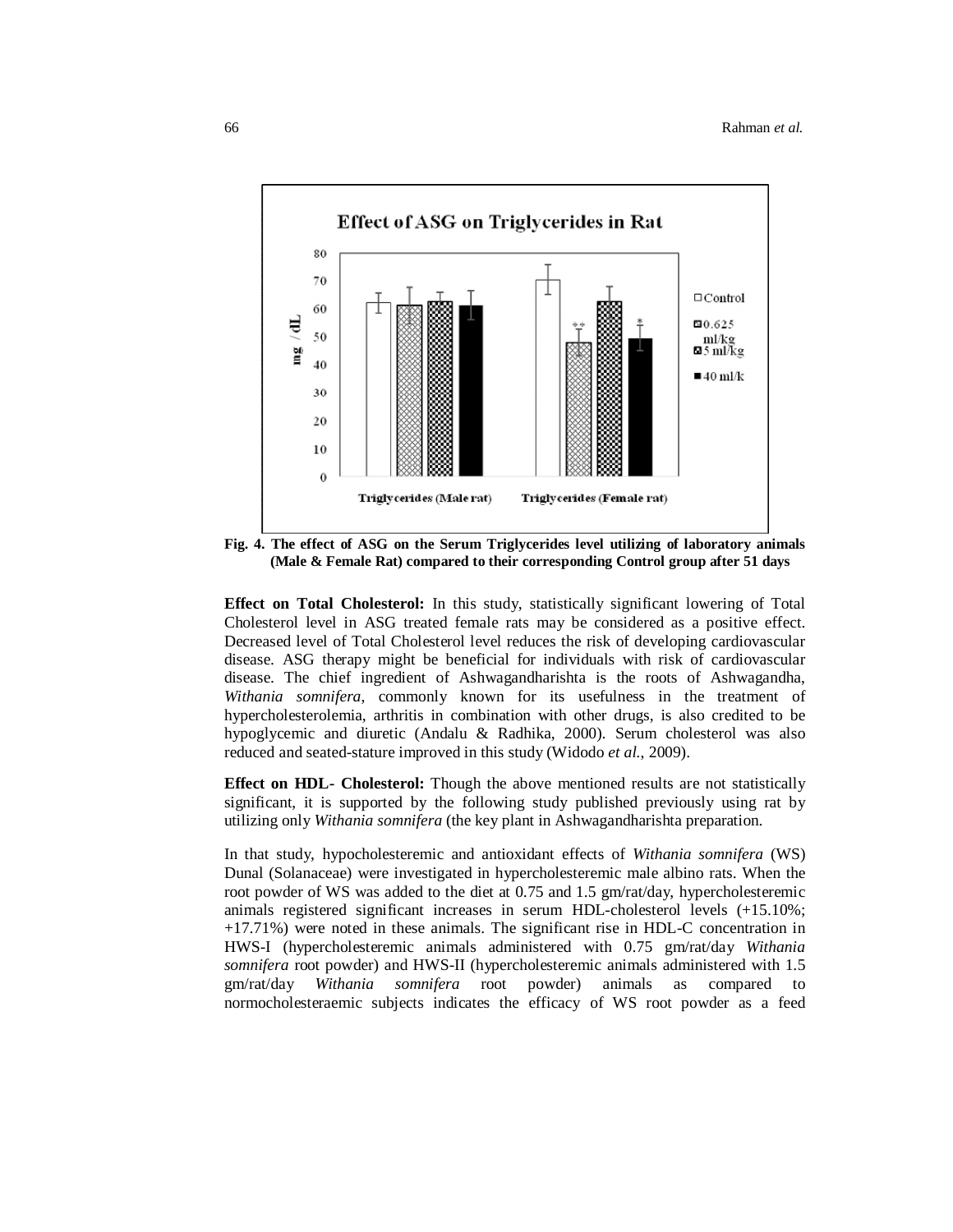

**Fig. 4. The effect of ASG on the Serum Triglycerides level utilizing of laboratory animals (Male & Female Rat) compared to their corresponding Control group after 51 days** 

**Effect on Total Cholesterol:** In this study, statistically significant lowering of Total Cholesterol level in ASG treated female rats may be considered as a positive effect. Decreased level of Total Cholesterol level reduces the risk of developing cardiovascular disease. ASG therapy might be beneficial for individuals with risk of cardiovascular disease. The chief ingredient of Ashwagandharishta is the roots of Ashwagandha, *Withania somnifera*, commonly known for its usefulness in the treatment of hypercholesterolemia, arthritis in combination with other drugs, is also credited to be hypoglycemic and diuretic (Andalu & Radhika, 2000). Serum cholesterol was also reduced and seated-stature improved in this study (Widodo *et al.*, 2009).

**Effect on HDL- Cholesterol:** Though the above mentioned results are not statistically significant, it is supported by the following study published previously using rat by utilizing only *Withania somnifera* (the key plant in Ashwagandharishta preparation.

In that study, hypocholesteremic and antioxidant effects of *Withania somnifera* (WS) Dunal (Solanaceae) were investigated in hypercholesteremic male albino rats. When the root powder of WS was added to the diet at 0.75 and 1.5 gm/rat/day, hypercholesteremic animals registered significant increases in serum HDL-cholesterol levels (+15.10%; +17.71%) were noted in these animals. The significant rise in HDL-C concentration in HWS-I (hypercholesteremic animals administered with 0.75 gm/rat/day *Withania somnifera* root powder) and HWS-II (hypercholesteremic animals administered with 1.5 gm/rat/day *Withania somnifera* root powder) animals as compared to normocholesteraemic subjects indicates the efficacy of WS root powder as a feed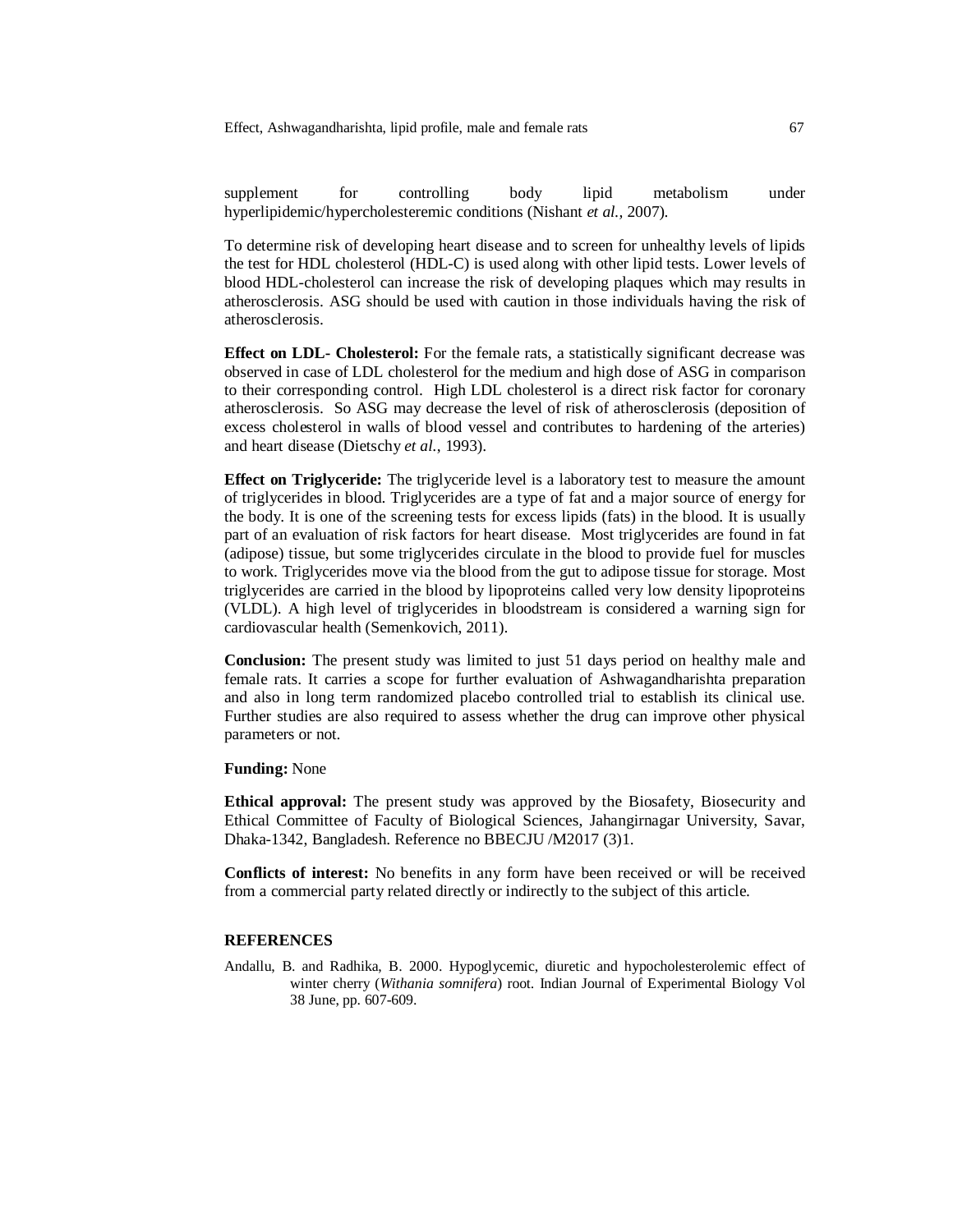Effect, Ashwagandharishta, lipid profile, male and female rats 67

supplement for controlling body lipid metabolism under hyperlipidemic/hypercholesteremic conditions (Nishant *et al.,* 2007).

To determine risk of developing heart disease and to screen for unhealthy levels of lipids the test for HDL cholesterol (HDL-C) is used along with other lipid tests. Lower levels of blood HDL-cholesterol can increase the risk of developing plaques which may results in atherosclerosis. ASG should be used with caution in those individuals having the risk of atherosclerosis.

**Effect on LDL- Cholesterol:** For the female rats, a statistically significant decrease was observed in case of LDL cholesterol for the medium and high dose of ASG in comparison to their corresponding control. High LDL cholesterol is a direct risk factor for coronary atherosclerosis. So ASG may decrease the level of risk of atherosclerosis (deposition of excess cholesterol in walls of blood vessel and contributes to hardening of the arteries) and heart disease (Dietschy *et al.*, 1993).

**Effect on Triglyceride:** The triglyceride level is a laboratory test to measure the amount of triglycerides in blood. Triglycerides are a type of fat and a major source of energy for the body. It is one of the screening tests for excess lipids (fats) in the blood. It is usually part of an evaluation of risk factors for heart disease. Most triglycerides are found in fat (adipose) tissue, but some triglycerides circulate in the blood to provide fuel for muscles to work. Triglycerides move via the blood from the gut to adipose tissue for storage. Most triglycerides are carried in the blood by lipoproteins called very low density lipoproteins (VLDL). A high level of triglycerides in bloodstream is considered a warning sign for cardiovascular health (Semenkovich, 2011).

**Conclusion:** The present study was limited to just 51 days period on healthy male and female rats. It carries a scope for further evaluation of Ashwagandharishta preparation and also in long term randomized placebo controlled trial to establish its clinical use. Further studies are also required to assess whether the drug can improve other physical parameters or not.

## **Funding:** None

**Ethical approval:** The present study was approved by the Biosafety, Biosecurity and Ethical Committee of Faculty of Biological Sciences, Jahangirnagar University, Savar, Dhaka-1342, Bangladesh. Reference no BBECJU /M2017 (3)1.

**Conflicts of interest:** No benefits in any form have been received or will be received from a commercial party related directly or indirectly to the subject of this article.

### **REFERENCES**

Andallu, B. and Radhika, B. 2000. Hypoglycemic, diuretic and hypocholesterolemic effect of winter cherry (*Withania somnifera*) root. Indian Journal of Experimental Biology Vol 38 June, pp. 607-609.